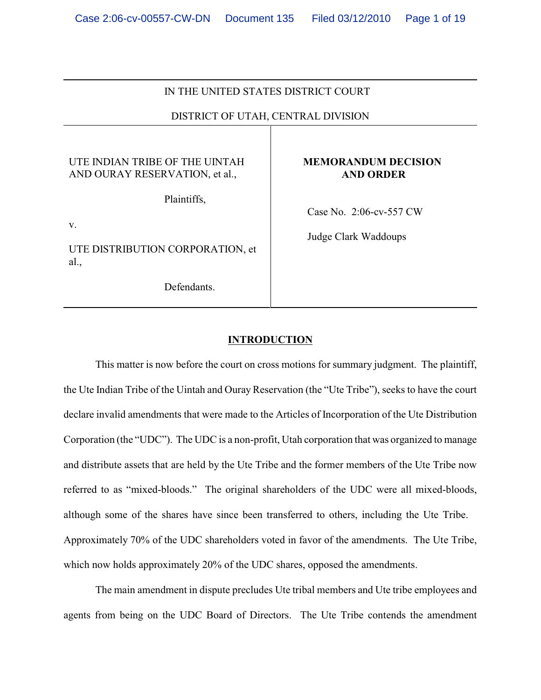### IN THE UNITED STATES DISTRICT COURT

# DISTRICT OF UTAH, CENTRAL DIVISION

## UTE INDIAN TRIBE OF THE UINTAH AND OURAY RESERVATION, et al.,

Plaintiffs,

v.

UTE DISTRIBUTION CORPORATION, et al.,

Defendants.

### **MEMORANDUM DECISION AND ORDER**

Case No. 2:06-cv-557 CW

Judge Clark Waddoups

### **INTRODUCTION**

This matter is now before the court on cross motions for summary judgment. The plaintiff, the Ute Indian Tribe of the Uintah and Ouray Reservation (the "Ute Tribe"), seeks to have the court declare invalid amendments that were made to the Articles of Incorporation of the Ute Distribution Corporation (the "UDC"). The UDC is a non-profit, Utah corporation that was organized to manage and distribute assets that are held by the Ute Tribe and the former members of the Ute Tribe now referred to as "mixed-bloods." The original shareholders of the UDC were all mixed-bloods, although some of the shares have since been transferred to others, including the Ute Tribe. Approximately 70% of the UDC shareholders voted in favor of the amendments. The Ute Tribe, which now holds approximately 20% of the UDC shares, opposed the amendments.

The main amendment in dispute precludes Ute tribal members and Ute tribe employees and agents from being on the UDC Board of Directors. The Ute Tribe contends the amendment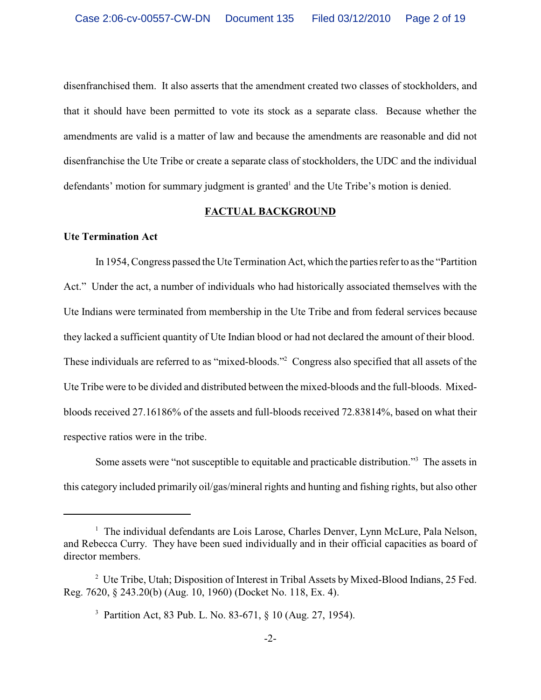disenfranchised them. It also asserts that the amendment created two classes of stockholders, and that it should have been permitted to vote its stock as a separate class. Because whether the amendments are valid is a matter of law and because the amendments are reasonable and did not disenfranchise the Ute Tribe or create a separate class of stockholders, the UDC and the individual defendants' motion for summary judgment is granted<sup>1</sup> and the Ute Tribe's motion is denied.

#### **FACTUAL BACKGROUND**

#### **Ute Termination Act**

In 1954, Congress passed the Ute Termination Act, which the parties refer to as the "Partition Act." Under the act, a number of individuals who had historically associated themselves with the Ute Indians were terminated from membership in the Ute Tribe and from federal services because they lacked a sufficient quantity of Ute Indian blood or had not declared the amount of their blood. These individuals are referred to as "mixed-bloods."<sup>2</sup> Congress also specified that all assets of the Ute Tribe were to be divided and distributed between the mixed-bloods and the full-bloods. Mixedbloods received 27.16186% of the assets and full-bloods received 72.83814%, based on what their respective ratios were in the tribe.

Some assets were "not susceptible to equitable and practicable distribution."<sup>3</sup> The assets in this category included primarily oil/gas/mineral rights and hunting and fishing rights, but also other

 $<sup>1</sup>$  The individual defendants are Lois Larose, Charles Denver, Lynn McLure, Pala Nelson,</sup> and Rebecca Curry. They have been sued individually and in their official capacities as board of director members.

<sup>&</sup>lt;sup>2</sup> Ute Tribe, Utah; Disposition of Interest in Tribal Assets by Mixed-Blood Indians, 25 Fed. Reg. 7620, § 243.20(b) (Aug. 10, 1960) (Docket No. 118, Ex. 4).

<sup>&</sup>lt;sup>3</sup> Partition Act, 83 Pub. L. No. 83-671, § 10 (Aug. 27, 1954).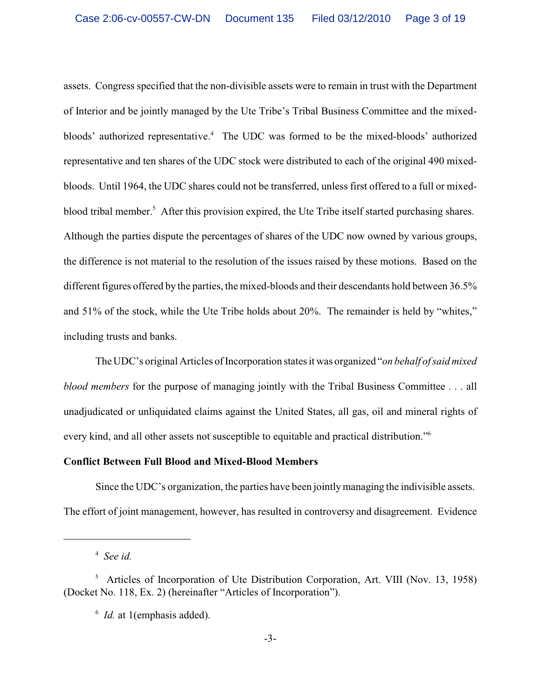assets. Congress specified that the non-divisible assets were to remain in trust with the Department of Interior and be jointly managed by the Ute Tribe's Tribal Business Committee and the mixedbloods' authorized representative.<sup>4</sup> The UDC was formed to be the mixed-bloods' authorized representative and ten shares of the UDC stock were distributed to each of the original 490 mixedbloods. Until 1964, the UDC shares could not be transferred, unless first offered to a full or mixedblood tribal member.<sup>5</sup> After this provision expired, the Ute Tribe itself started purchasing shares. Although the parties dispute the percentages of shares of the UDC now owned by various groups, the difference is not material to the resolution of the issues raised by these motions. Based on the different figures offered by the parties, the mixed-bloods and their descendants hold between 36.5% and 51% of the stock, while the Ute Tribe holds about 20%. The remainder is held by "whites," including trusts and banks.

The UDC's original Articles of Incorporation states it was organized "*on behalf of said mixed blood members* for the purpose of managing jointly with the Tribal Business Committee . . . all unadjudicated or unliquidated claims against the United States, all gas, oil and mineral rights of every kind, and all other assets not susceptible to equitable and practical distribution."<sup>6</sup>

## **Conflict Between Full Blood and Mixed-Blood Members**

Since the UDC's organization, the parties have been jointlymanaging the indivisible assets. The effort of joint management, however, has resulted in controversy and disagreement. Evidence

<sup>&</sup>lt;sup>4</sup> See id.

 $^5$  Articles of Incorporation of Ute Distribution Corporation, Art. VIII (Nov. 13, 1958) (Docket No. 118, Ex. 2) (hereinafter "Articles of Incorporation").

<sup>&</sup>lt;sup>6</sup> Id. at 1(emphasis added).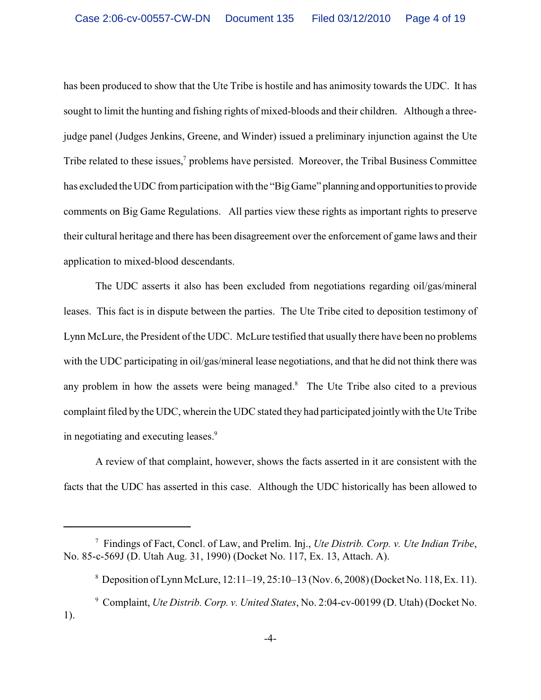has been produced to show that the Ute Tribe is hostile and has animosity towards the UDC. It has sought to limit the hunting and fishing rights of mixed-bloods and their children. Although a threejudge panel (Judges Jenkins, Greene, and Winder) issued a preliminary injunction against the Ute Tribe related to these issues, $\alpha$  problems have persisted. Moreover, the Tribal Business Committee has excluded the UDC from participation with the "Big Game" planning and opportunities to provide comments on Big Game Regulations. All parties view these rights as important rights to preserve their cultural heritage and there has been disagreement over the enforcement of game laws and their application to mixed-blood descendants.

The UDC asserts it also has been excluded from negotiations regarding oil/gas/mineral leases. This fact is in dispute between the parties. The Ute Tribe cited to deposition testimony of Lynn McLure, the President of the UDC. McLure testified that usually there have been no problems with the UDC participating in oil/gas/mineral lease negotiations, and that he did not think there was any problem in how the assets were being managed.<sup>8</sup> The Ute Tribe also cited to a previous complaint filed by the UDC, wherein the UDC stated they had participated jointlywith the Ute Tribe in negotiating and executing leases.<sup>9</sup>

A review of that complaint, however, shows the facts asserted in it are consistent with the facts that the UDC has asserted in this case. Although the UDC historically has been allowed to

Findings of Fact, Concl. of Law, and Prelim. Inj., *Ute Distrib. Corp. v. Ute Indian Tribe*, 7 No. 85-c-569J (D. Utah Aug. 31, 1990) (Docket No. 117, Ex. 13, Attach. A).

 $8$  Deposition of Lynn McLure, 12:11–19, 25:10–13 (Nov. 6, 2008) (Docket No. 118, Ex. 11).

Complaint, *Ute Distrib. Corp. v. United States*, No. 2:04-cv-00199 (D. Utah) (Docket No. <sup>9</sup> 1).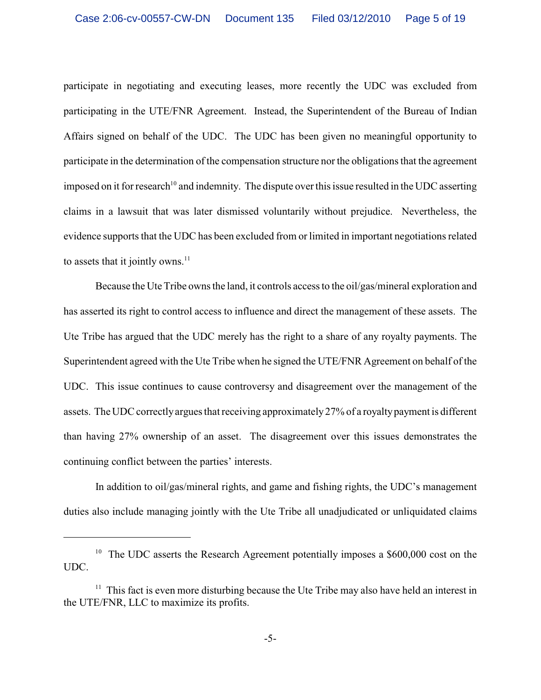participate in negotiating and executing leases, more recently the UDC was excluded from participating in the UTE/FNR Agreement. Instead, the Superintendent of the Bureau of Indian Affairs signed on behalf of the UDC. The UDC has been given no meaningful opportunity to participate in the determination of the compensation structure nor the obligations that the agreement imposed on it for research<sup>10</sup> and indemnity. The dispute over this issue resulted in the UDC asserting claims in a lawsuit that was later dismissed voluntarily without prejudice. Nevertheless, the evidence supports that the UDC has been excluded from or limited in important negotiations related to assets that it jointly owns. $11$ 

Because the Ute Tribe owns the land, it controls access to the oil/gas/mineral exploration and has asserted its right to control access to influence and direct the management of these assets. The Ute Tribe has argued that the UDC merely has the right to a share of any royalty payments. The Superintendent agreed with the Ute Tribe when he signed the UTE/FNR Agreement on behalf of the UDC. This issue continues to cause controversy and disagreement over the management of the assets. The UDC correctly argues that receiving approximately 27% of a royaltypayment is different than having 27% ownership of an asset. The disagreement over this issues demonstrates the continuing conflict between the parties' interests.

In addition to oil/gas/mineral rights, and game and fishing rights, the UDC's management duties also include managing jointly with the Ute Tribe all unadjudicated or unliquidated claims

<sup>&</sup>lt;sup>10</sup> The UDC asserts the Research Agreement potentially imposes a \$600,000 cost on the UDC.

 $11$  This fact is even more disturbing because the Ute Tribe may also have held an interest in the UTE/FNR, LLC to maximize its profits.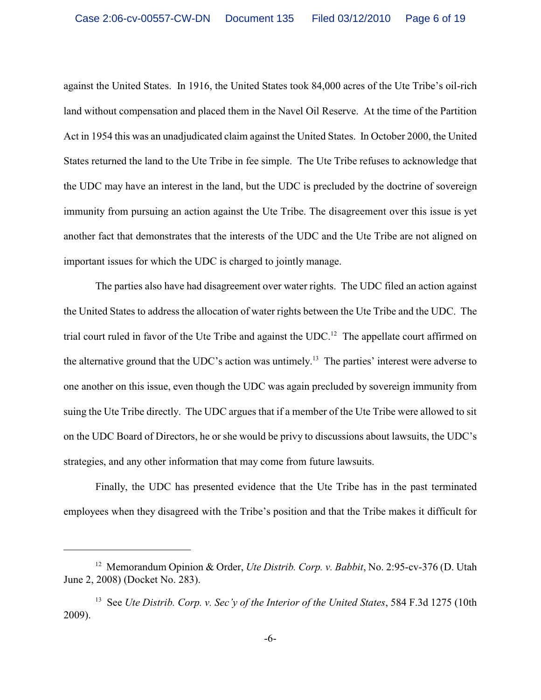against the United States. In 1916, the United States took 84,000 acres of the Ute Tribe's oil-rich land without compensation and placed them in the Navel Oil Reserve. At the time of the Partition Act in 1954 this was an unadjudicated claim against the United States. In October 2000, the United States returned the land to the Ute Tribe in fee simple. The Ute Tribe refuses to acknowledge that the UDC may have an interest in the land, but the UDC is precluded by the doctrine of sovereign immunity from pursuing an action against the Ute Tribe. The disagreement over this issue is yet another fact that demonstrates that the interests of the UDC and the Ute Tribe are not aligned on important issues for which the UDC is charged to jointly manage.

The parties also have had disagreement over water rights. The UDC filed an action against the United States to address the allocation of water rights between the Ute Tribe and the UDC. The trial court ruled in favor of the Ute Tribe and against the  $UDC<sup>12</sup>$ . The appellate court affirmed on the alternative ground that the UDC's action was untimely.<sup>13</sup> The parties' interest were adverse to one another on this issue, even though the UDC was again precluded by sovereign immunity from suing the Ute Tribe directly. The UDC argues that if a member of the Ute Tribe were allowed to sit on the UDC Board of Directors, he or she would be privy to discussions about lawsuits, the UDC's strategies, and any other information that may come from future lawsuits.

Finally, the UDC has presented evidence that the Ute Tribe has in the past terminated employees when they disagreed with the Tribe's position and that the Tribe makes it difficult for

<sup>&</sup>lt;sup>12</sup> Memorandum Opinion & Order, *Ute Distrib. Corp. v. Babbit*, No. 2:95-cv-376 (D. Utah June 2, 2008) (Docket No. 283).

<sup>&</sup>lt;sup>13</sup> See *Ute Distrib. Corp. v. Sec'y of the Interior of the United States*, 584 F.3d 1275 (10th 2009).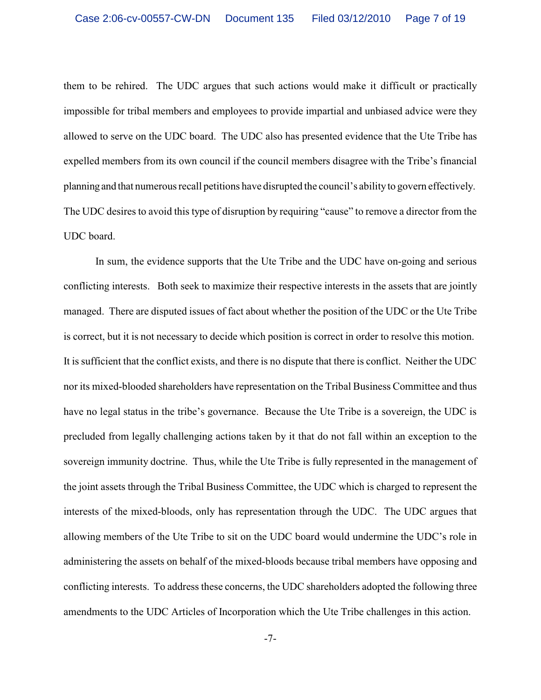them to be rehired. The UDC argues that such actions would make it difficult or practically impossible for tribal members and employees to provide impartial and unbiased advice were they allowed to serve on the UDC board. The UDC also has presented evidence that the Ute Tribe has expelled members from its own council if the council members disagree with the Tribe's financial planning and that numerous recall petitions have disrupted the council's abilityto govern effectively. The UDC desires to avoid this type of disruption by requiring "cause" to remove a director from the UDC board.

In sum, the evidence supports that the Ute Tribe and the UDC have on-going and serious conflicting interests. Both seek to maximize their respective interests in the assets that are jointly managed. There are disputed issues of fact about whether the position of the UDC or the Ute Tribe is correct, but it is not necessary to decide which position is correct in order to resolve this motion. It is sufficient that the conflict exists, and there is no dispute that there is conflict. Neither the UDC nor its mixed-blooded shareholders have representation on the Tribal Business Committee and thus have no legal status in the tribe's governance. Because the Ute Tribe is a sovereign, the UDC is precluded from legally challenging actions taken by it that do not fall within an exception to the sovereign immunity doctrine. Thus, while the Ute Tribe is fully represented in the management of the joint assets through the Tribal Business Committee, the UDC which is charged to represent the interests of the mixed-bloods, only has representation through the UDC. The UDC argues that allowing members of the Ute Tribe to sit on the UDC board would undermine the UDC's role in administering the assets on behalf of the mixed-bloods because tribal members have opposing and conflicting interests. To address these concerns, the UDC shareholders adopted the following three amendments to the UDC Articles of Incorporation which the Ute Tribe challenges in this action.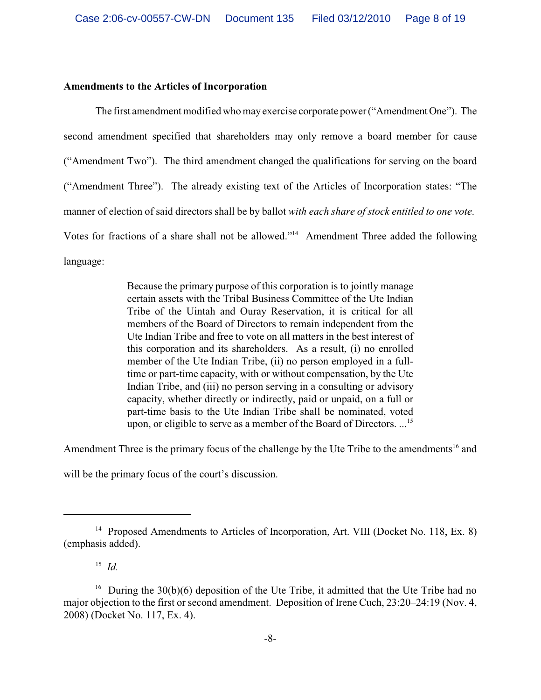#### **Amendments to the Articles of Incorporation**

The first amendment modified who mayexercise corporate power("Amendment One"). The second amendment specified that shareholders may only remove a board member for cause ("Amendment Two"). The third amendment changed the qualifications for serving on the board ("Amendment Three"). The already existing text of the Articles of Incorporation states: "The manner of election of said directors shall be by ballot *with each share of stock entitled to one vote*. Votes for fractions of a share shall not be allowed."<sup>14</sup> Amendment Three added the following language:

> Because the primary purpose of this corporation is to jointly manage certain assets with the Tribal Business Committee of the Ute Indian Tribe of the Uintah and Ouray Reservation, it is critical for all members of the Board of Directors to remain independent from the Ute Indian Tribe and free to vote on all matters in the best interest of this corporation and its shareholders. As a result, (i) no enrolled member of the Ute Indian Tribe, (ii) no person employed in a fulltime or part-time capacity, with or without compensation, by the Ute Indian Tribe, and (iii) no person serving in a consulting or advisory capacity, whether directly or indirectly, paid or unpaid, on a full or part-time basis to the Ute Indian Tribe shall be nominated, voted upon, or eligible to serve as a member of the Board of Directors. ...<sup>15</sup>

Amendment Three is the primary focus of the challenge by the Ute Tribe to the amendments<sup>16</sup> and

will be the primary focus of the court's discussion.

<sup>&</sup>lt;sup>14</sup> Proposed Amendments to Articles of Incorporation, Art. VIII (Docket No. 118, Ex. 8) (emphasis added).

 $^{15}$  *Id.* 

<sup>&</sup>lt;sup>16</sup> During the 30(b)(6) deposition of the Ute Tribe, it admitted that the Ute Tribe had no major objection to the first or second amendment. Deposition of Irene Cuch, 23:20–24:19 (Nov. 4, 2008) (Docket No. 117, Ex. 4).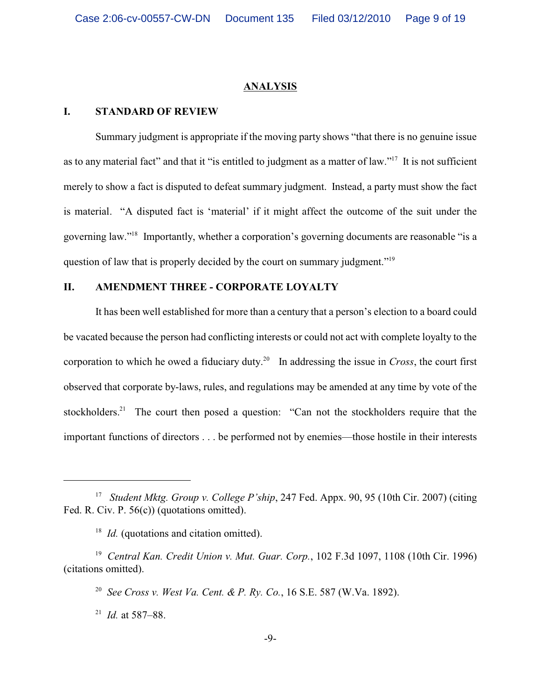#### **A N A L Y S IS**

### **I. STANDARD OF REVIEW**

Summary judgment is appropriate if the moving party shows "that there is no genuine issue as to any material fact" and that it "is entitled to judgment as a matter of law."<sup>17</sup> It is not sufficient merely to show a fact is disputed to defeat summary judgment. Instead, a party must show the fact is material. "A disputed fact is 'material' if it might affect the outcome of the suit under the governing law."<sup>18</sup> Importantly, whether a corporation's governing documents are reasonable "is a question of law that is properly decided by the court on summary judgment."<sup>19</sup>

### **II. AMENDMENT THREE - CORPORATE LOYALTY**

It has been well established for more than a century that a person's election to a board could be vacated because the person had conflicting interests or could not act with complete loyalty to the corporation to which he owed a fiduciary duty.<sup>20</sup> In addressing the issue in *Cross*, the court first observed that corporate by-laws, rules, and regulations may be amended at any time by vote of the stockholders.<sup>21</sup> The court then posed a question: "Can not the stockholders require that the important functions of directors . . . be performed not by enemies—those hostile in their interests

<sup>21</sup> *Id.* at 587–88.

<sup>&</sup>lt;sup>17</sup> *Student Mktg. Group v. College P'ship*, 247 Fed. Appx. 90, 95 (10th Cir. 2007) (citing Fed. R. Civ. P. 56(c)) (quotations omitted).

<sup>&</sup>lt;sup>18</sup> *Id.* (quotations and citation omitted).

<sup>&</sup>lt;sup>19</sup> Central Kan. Credit Union v. Mut. Guar. Corp., 102 F.3d 1097, 1108 (10th Cir. 1996) (citations omitted).

<sup>&</sup>lt;sup>20</sup> See Cross v. West Va. Cent. & P. Rv. Co., 16 S.E. 587 (W.Va. 1892).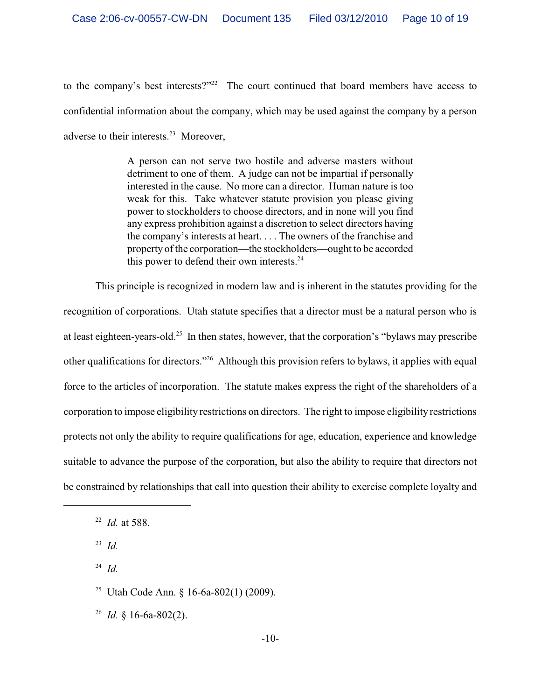to the company's best interests?"<sup>22</sup> The court continued that board members have access to confidential information about the company, which may be used against the company by a person adverse to their interests. $23$  Moreover,

> A person can not serve two hostile and adverse masters without detriment to one of them. A judge can not be impartial if personally interested in the cause. No more can a director. Human nature is too weak for this. Take whatever statute provision you please giving power to stockholders to choose directors, and in none will you find any express prohibition against a discretion to select directors having the company's interests at heart. . . . The owners of the franchise and property of the corporation—the stockholders—ought to be accorded this power to defend their own interests. $24$

This principle is recognized in modern law and is inherent in the statutes providing for the recognition of corporations. Utah statute specifies that a director must be a natural person who is at least eighteen-years-old.<sup>25</sup> In then states, however, that the corporation's "bylaws may prescribe other qualifications for directors."<sup>26</sup> Although this provision refers to bylaws, it applies with equal force to the articles of incorporation. The statute makes express the right of the shareholders of a corporation to impose eligibility restrictions on directors. The right to impose eligibility restrictions protects not only the ability to require qualifications for age, education, experience and knowledge suitable to advance the purpose of the corporation, but also the ability to require that directors not be constrained by relationships that call into question their ability to exercise complete loyalty and

 $^{24}$  *Id.* 

<sup>&</sup>lt;sup>22</sup> *Id.* at 588.

 $^{23}$  *Id.* 

<sup>&</sup>lt;sup>25</sup> Utah Code Ann. § 16-6a-802(1) (2009).

<sup>&</sup>lt;sup>26</sup> *Id.*  $\frac{1}{6}$  16-6a-802(2).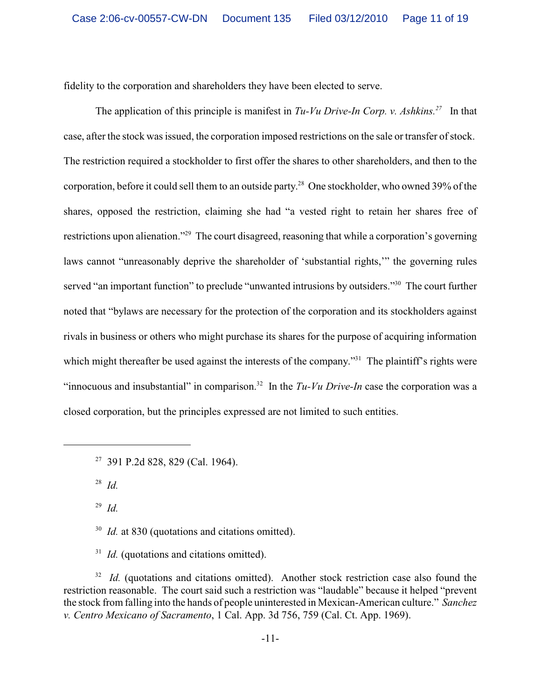fidelity to the corporation and shareholders they have been elected to serve.

The application of this principle is manifest in  $Tu-Vu$  Drive-In Corp. v. Ashkins.<sup>27</sup> In that case, after the stock was issued, the corporation imposed restrictions on the sale or transfer of stock. The restriction required a stockholder to first offer the shares to other shareholders, and then to the corporation, before it could sell them to an outside party.<sup>28</sup> One stockholder, who owned 39% of the shares, opposed the restriction, claiming she had "a vested right to retain her shares free of restrictions upon alienation."<sup>29</sup> The court disagreed, reasoning that while a corporation's governing laws cannot "unreasonably deprive the shareholder of 'substantial rights,'" the governing rules served "an important function" to preclude "unwanted intrusions by outsiders."<sup>30</sup> The court further noted that "bylaws are necessary for the protection of the corporation and its stockholders against rivals in business or others who might purchase its shares for the purpose of acquiring information which might thereafter be used against the interests of the company."<sup>31</sup> The plaintiff's rights were "innocuous and insubstantial" in comparison.<sup>32</sup> In the  $Tu-Vu$  *Drive-In* case the corporation was a closed corporation, but the principles expressed are not limited to such entities.

 $^{28}$  *Id.* 

 $^{29}$  *Id.* 

<sup>30</sup> *Id.* at 830 (quotations and citations omitted).

 $I$ <sup>31</sup> *Id.* (quotations and citations omitted).

 $I/d$ . (quotations and citations omitted). Another stock restriction case also found the restriction reasonable. The court said such a restriction was "laudable" because it helped "prevent the stock from falling into the hands of people uninterested in Mexican-American culture." *Sanchez v. Centro Mexicano of Sacramento*, 1 Cal. App. 3d 756, 759 (Cal. Ct. App. 1969).

 $27$  391 P.2d 828, 829 (Cal. 1964).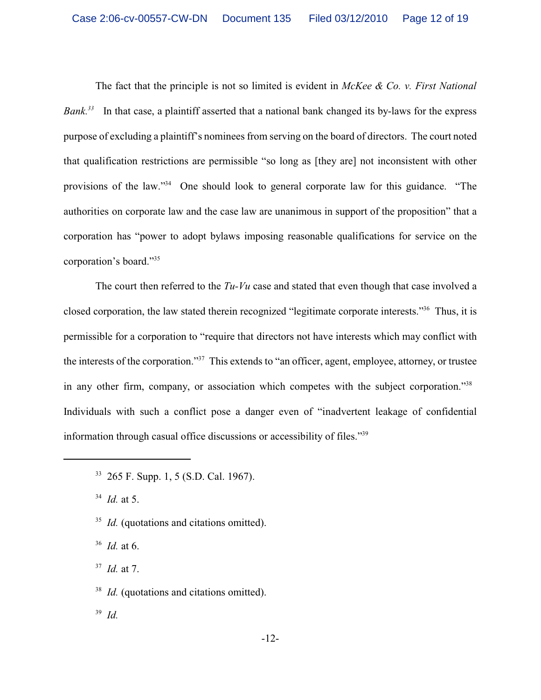The fact that the principle is not so limited is evident in *McKee & Co. v. First National Bank*<sup>33</sup> In that case, a plaintiff asserted that a national bank changed its by-laws for the express purpose of excluding a plaintiff's nominees from serving on the board of directors. The court noted that qualification restrictions are permissible "so long as [they are] not inconsistent with other provisions of the law."<sup>34</sup> One should look to general corporate law for this guidance. "The authorities on corporate law and the case law are unanimous in support of the proposition" that a corporation has "power to adopt bylaws imposing reasonable qualifications for service on the corporation's board."<sup>35</sup>

The court then referred to the *Tu-Vu* case and stated that even though that case involved a closed corporation, the law stated therein recognized "legitimate corporate interests."<sup>36</sup> Thus, it is permissible for a corporation to "require that directors not have interests which may conflict with the interests of the corporation."<sup>37</sup> This extends to "an officer, agent, employee, attorney, or trustee in any other firm, company, or association which competes with the subject corporation."<sup>38</sup> Individuals with such a conflict pose a danger even of "inadvertent leakage of confidential information through casual office discussions or accessibility of files."<sup>39</sup>

<sup>33</sup> 265 F. Supp. 1, 5 (S.D. Cal. 1967).

 $^{34}$  *Id.* at 5.

<sup>35</sup> *Id.* (quotations and citations omitted).

<sup>36</sup> *Id.* at 6.

<sup>37</sup> *Id.* at 7.

<sup>38</sup> *Id.* (quotations and citations omitted).

 $^{39}$  *Id.*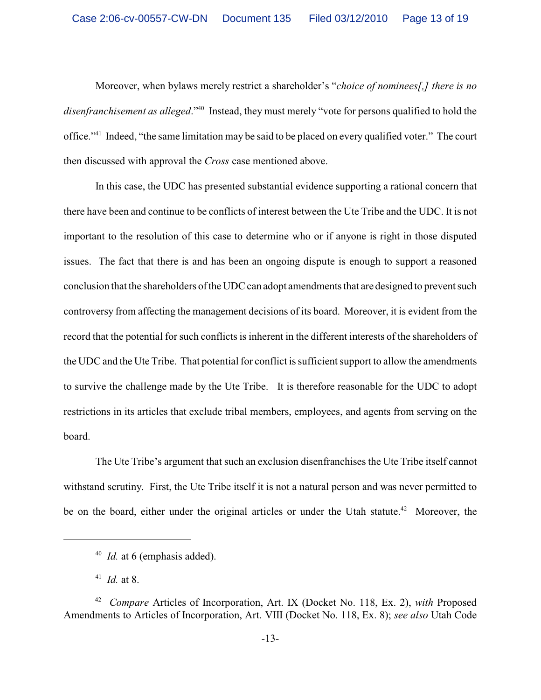Moreover, when bylaws merely restrict a shareholder's "*choice of nominees[,] there is no disenfranchisement as alleged.*"<sup>40</sup> Instead, they must merely "vote for persons qualified to hold the office."<sup>41</sup> Indeed, "the same limitation may be said to be placed on every qualified voter." The court then discussed with approval the *Cross* case mentioned above.

In this case, the UDC has presented substantial evidence supporting a rational concern that there have been and continue to be conflicts of interest between the Ute Tribe and the UDC. It is not important to the resolution of this case to determine who or if anyone is right in those disputed issues. The fact that there is and has been an ongoing dispute is enough to support a reasoned conclusion that the shareholders of the UDC can adopt amendments that are designed to prevent such controversy from affecting the management decisions of its board. Moreover, it is evident from the record that the potential for such conflicts is inherent in the different interests of the shareholders of the UDC and the Ute Tribe. That potential for conflict is sufficient support to allow the amendments to survive the challenge made by the Ute Tribe. It is therefore reasonable for the UDC to adopt restrictions in its articles that exclude tribal members, employees, and agents from serving on the board.

The Ute Tribe's argument that such an exclusion disenfranchises the Ute Tribe itself cannot withstand scrutiny. First, the Ute Tribe itself it is not a natural person and was never permitted to be on the board, either under the original articles or under the Utah statute.<sup>42</sup> Moreover, the

<sup>&</sup>lt;sup>40</sup> *Id.* at 6 (emphasis added).

 $^{41}$  *Id.* at 8.

<sup>&</sup>lt;sup>42</sup> Compare Articles of Incorporation, Art. IX (Docket No. 118, Ex. 2), *with* Proposed Amendments to Articles of Incorporation, Art. VIII (Docket No. 118, Ex. 8); *see also* Utah Code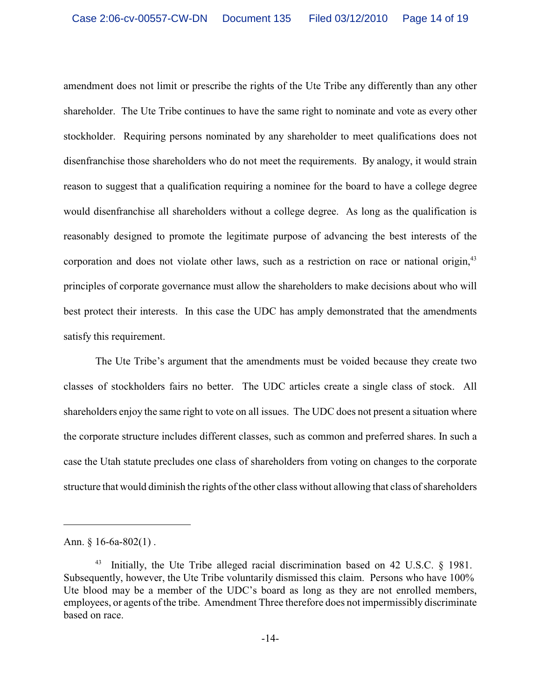amendment does not limit or prescribe the rights of the Ute Tribe any differently than any other shareholder. The Ute Tribe continues to have the same right to nominate and vote as every other stockholder. Requiring persons nominated by any shareholder to meet qualifications does not disenfranchise those shareholders who do not meet the requirements. By analogy, it would strain reason to suggest that a qualification requiring a nominee for the board to have a college degree would disenfranchise all shareholders without a college degree. As long as the qualification is reasonably designed to promote the legitimate purpose of advancing the best interests of the corporation and does not violate other laws, such as a restriction on race or national origin,<sup>43</sup> principles of corporate governance must allow the shareholders to make decisions about who will best protect their interests. In this case the UDC has amply demonstrated that the amendments satisfy this requirement.

The Ute Tribe's argument that the amendments must be voided because they create two classes of stockholders fairs no better. The UDC articles create a single class of stock. All shareholders enjoy the same right to vote on all issues. The UDC does not present a situation where the corporate structure includes different classes, such as common and preferred shares. In such a case the Utah statute precludes one class of shareholders from voting on changes to the corporate structure that would diminish the rights of the other class without allowing that class of shareholders

Ann. § 16-6a-802(1).

<sup>&</sup>lt;sup>43</sup> Initially, the Ute Tribe alleged racial discrimination based on 42 U.S.C.  $\S$  1981. Subsequently, however, the Ute Tribe voluntarily dismissed this claim. Persons who have 100% Ute blood may be a member of the UDC's board as long as they are not enrolled members, employees, or agents of the tribe. Amendment Three therefore does not impermissibly discriminate based on race.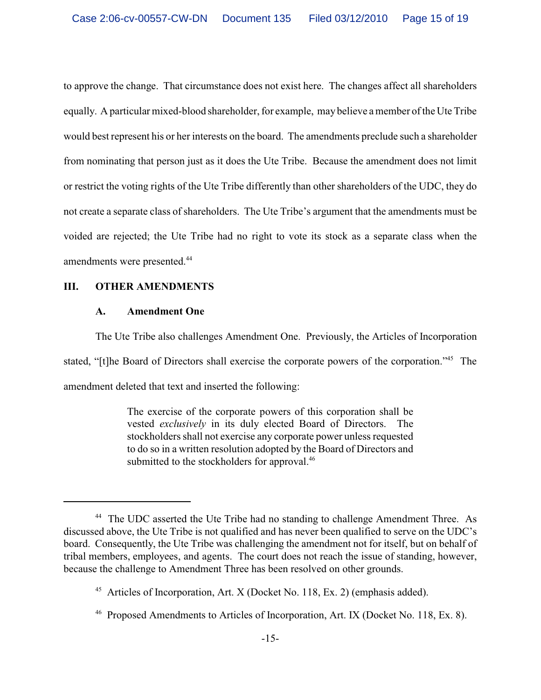to approve the change. That circumstance does not exist here. The changes affect all shareholders equally. A particular mixed-blood shareholder, for example, may believe a member of the Ute Tribe would best represent his or her interests on the board. The amendments preclude such a shareholder from nominating that person just as it does the Ute Tribe. Because the amendment does not limit or restrict the voting rights of the Ute Tribe differently than other shareholders of the UDC, they do not create a separate class of shareholders. The Ute Tribe's argument that the amendments must be voided are rejected; the Ute Tribe had no right to vote its stock as a separate class when the amendments were presented.<sup>44</sup>

## **III. OTHER AMENDMENTS**

## **A. Amendment One**

The Ute Tribe also challenges Amendment One. Previously, the Articles of Incorporation stated, "[t]he Board of Directors shall exercise the corporate powers of the corporation."<sup>45</sup> The amendment deleted that text and inserted the following:

> The exercise of the corporate powers of this corporation shall be vested *exclusively* in its duly elected Board of Directors. The stockholders shall not exercise any corporate power unless requested to do so in a written resolution adopted by the Board of Directors and submitted to the stockholders for approval.<sup>46</sup>

<sup>&</sup>lt;sup>44</sup> The UDC asserted the Ute Tribe had no standing to challenge Amendment Three. As discussed above, the Ute Tribe is not qualified and has never been qualified to serve on the UDC's board. Consequently, the Ute Tribe was challenging the amendment not for itself, but on behalf of tribal members, employees, and agents. The court does not reach the issue of standing, however, because the challenge to Amendment Three has been resolved on other grounds.

 $45$  Articles of Incorporation, Art. X (Docket No. 118, Ex. 2) (emphasis added).

<sup>&</sup>lt;sup>46</sup> Proposed Amendments to Articles of Incorporation, Art. IX (Docket No. 118, Ex. 8).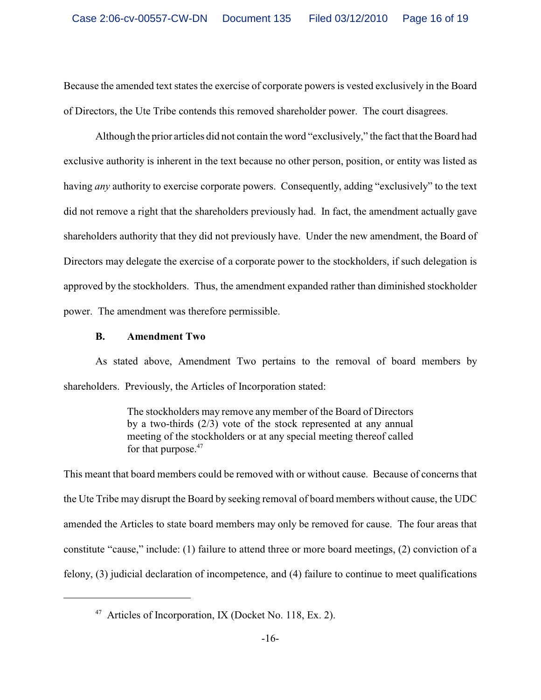Because the amended text states the exercise of corporate powers is vested exclusively in the Board of Directors, the Ute Tribe contends this removed shareholder power. The court disagrees.

Although the prior articles did not contain the word "exclusively," the fact that the Board had exclusive authority is inherent in the text because no other person, position, or entity was listed as having *any* authority to exercise corporate powers. Consequently, adding "exclusively" to the text did not remove a right that the shareholders previously had. In fact, the amendment actually gave shareholders authority that they did not previously have. Under the new amendment, the Board of Directors may delegate the exercise of a corporate power to the stockholders, if such delegation is approved by the stockholders. Thus, the amendment expanded rather than diminished stockholder power. The amendment was therefore permissible.

### **B. Amendment Two**

As stated above, Amendment Two pertains to the removal of board members by shareholders. Previously, the Articles of Incorporation stated:

> The stockholders may remove any member of the Board of Directors by a two-thirds (2/3) vote of the stock represented at any annual meeting of the stockholders or at any special meeting thereof called for that purpose.<sup>47</sup>

This meant that board members could be removed with or without cause. Because of concerns that the Ute Tribe may disrupt the Board by seeking removal of board members without cause, the UDC amended the Articles to state board members may only be removed for cause. The four areas that constitute "cause," include: (1) failure to attend three or more board meetings, (2) conviction of a felony, (3) judicial declaration of incompetence, and (4) failure to continue to meet qualifications

<sup>&</sup>lt;sup>47</sup> Articles of Incorporation, IX (Docket No. 118, Ex. 2).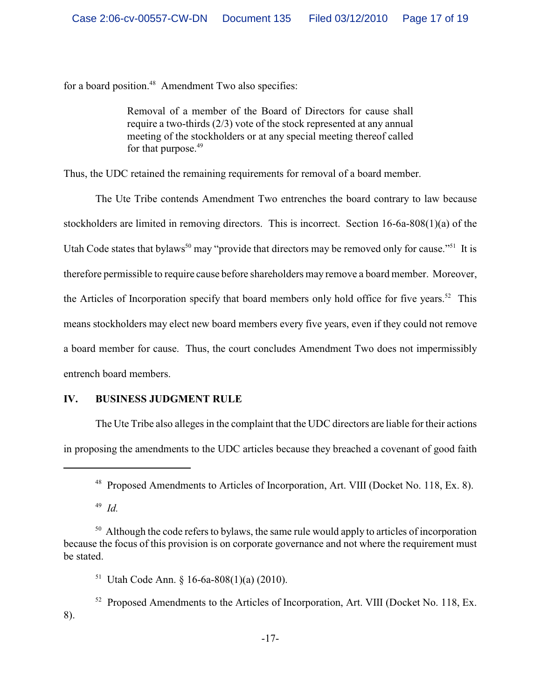for a board position. $48$  Amendment Two also specifies:

Removal of a member of the Board of Directors for cause shall require a two-thirds (2/3) vote of the stock represented at any annual meeting of the stockholders or at any special meeting thereof called for that purpose.<sup>49</sup>

Thus, the UDC retained the remaining requirements for removal of a board member.

The Ute Tribe contends Amendment Two entrenches the board contrary to law because stockholders are limited in removing directors. This is incorrect. Section 16-6a-808(1)(a) of the Utah Code states that bylaws<sup>50</sup> may "provide that directors may be removed only for cause."<sup>51</sup> It is therefore permissible to require cause before shareholders may remove a board member. Moreover, the Articles of Incorporation specify that board members only hold office for five years.<sup>52</sup> This means stockholders may elect new board members every five years, even if they could not remove a board member for cause. Thus, the court concludes Amendment Two does not impermissibly entrench board members.

# **IV. BUSINESS JUDGMENT RULE**

The Ute Tribe also alleges in the complaint that the UDC directors are liable for their actions in proposing the amendments to the UDC articles because they breached a covenant of good faith

 $^{49}$  *Id.* 

<sup>&</sup>lt;sup>48</sup> Proposed Amendments to Articles of Incorporation, Art. VIII (Docket No. 118, Ex. 8).

 $50$  Although the code refers to bylaws, the same rule would apply to articles of incorporation because the focus of this provision is on corporate governance and not where the requirement must be stated.

<sup>&</sup>lt;sup>51</sup> Utah Code Ann. § 16-6a-808(1)(a) (2010).

 $52$  Proposed Amendments to the Articles of Incorporation, Art. VIII (Docket No. 118, Ex. 8).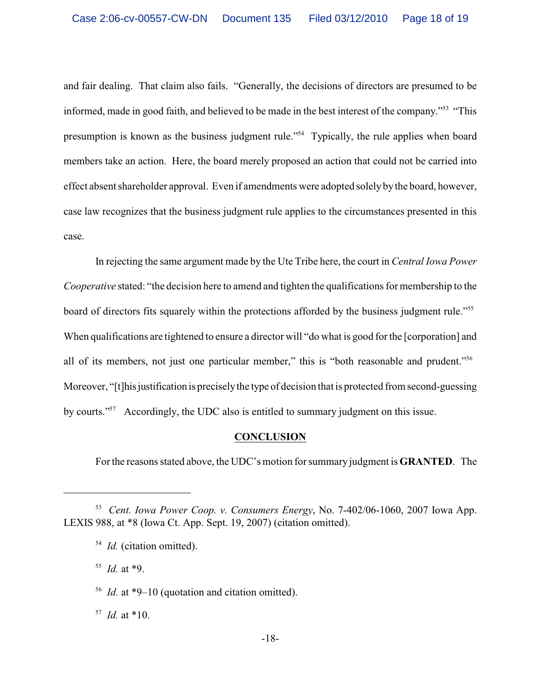and fair dealing. That claim also fails. "Generally, the decisions of directors are presumed to be informed, made in good faith, and believed to be made in the best interest of the company."<sup>53</sup> "This presumption is known as the business judgment rule."<sup>54</sup> Typically, the rule applies when board members take an action. Here, the board merely proposed an action that could not be carried into effect absent shareholder approval. Even if amendments were adopted solely by the board, however, case law recognizes that the business judgment rule applies to the circumstances presented in this case.

In rejecting the same argument made by the Ute Tribe here, the court in *Central Iowa Power Cooperative* stated: "the decision here to amend and tighten the qualifications for membership to the board of directors fits squarely within the protections afforded by the business judgment rule."<sup>55</sup> When qualifications are tightened to ensure a director will "do what is good for the [corporation] and all of its members, not just one particular member," this is "both reasonable and prudent."<sup>56</sup> Moreover, "[t]his justification is precisely the type of decision that is protected from second-guessing by courts."<sup>57</sup> Accordingly, the UDC also is entitled to summary judgment on this issue.

### **CONCLUSION**

Forthe reasons stated above, the UDC's motion for summary judgment is **GRANTED**. The

 $^{55}$  *Id.* at \*9.

<sup>&</sup>lt;sup>53</sup> Cent. Iowa Power Coop. *v. Consumers Energy*, No. 7-402/06-1060, 2007 Iowa App. LEXIS 988, at \*8 (Iowa Ct. App. Sept. 19, 2007) (citation omitted).

<sup>&</sup>lt;sup>54</sup> *Id.* (citation omitted).

<sup>&</sup>lt;sup>56</sup> *Id.* at \*9–10 (quotation and citation omitted).

 $^{57}$  *Id.* at \*10.